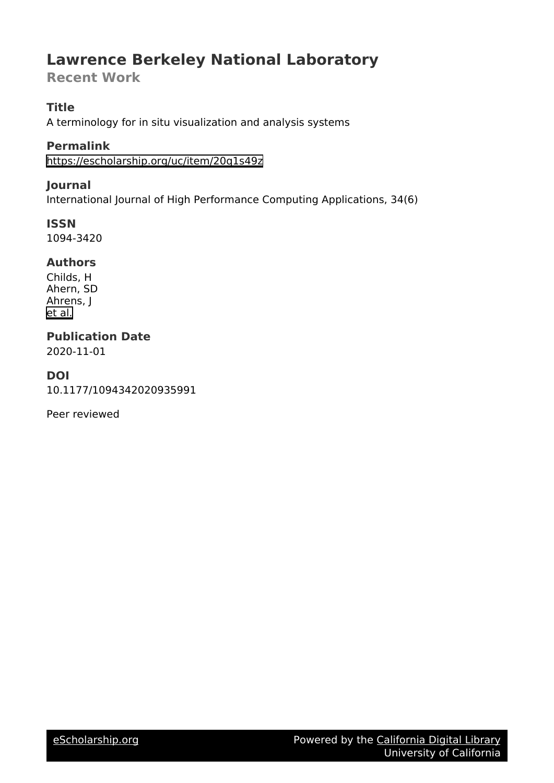# **Lawrence Berkeley National Laboratory**

**Recent Work**

# **Title**

A terminology for in situ visualization and analysis systems

**Permalink** <https://escholarship.org/uc/item/20q1s49z>

# **Journal**

International Journal of High Performance Computing Applications, 34(6)

**ISSN** 1094-3420

# **Authors**

Childs, H Ahern, SD Ahrens, J [et al.](https://escholarship.org/uc/item/20q1s49z#author)

# **Publication Date**

2020-11-01

# **DOI**

10.1177/1094342020935991

Peer reviewed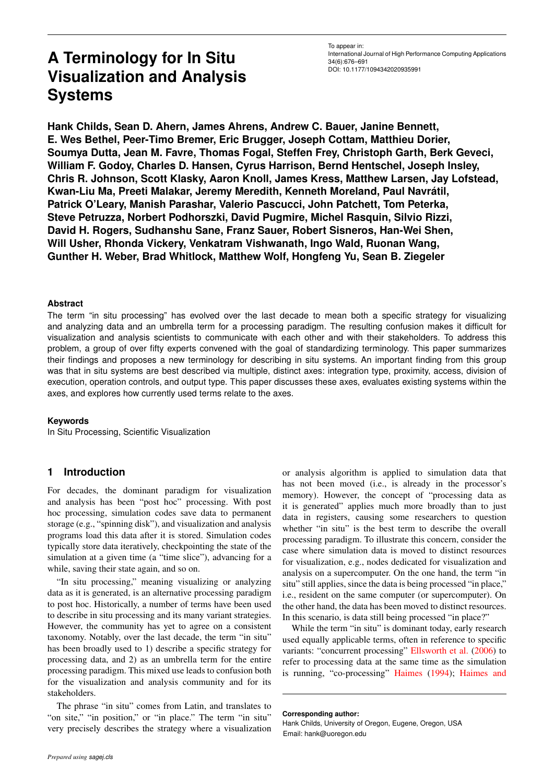# **A Terminology for In Situ Visualization and Analysis Systems**

**Hank Childs, Sean D. Ahern, James Ahrens, Andrew C. Bauer, Janine Bennett, E. Wes Bethel, Peer-Timo Bremer, Eric Brugger, Joseph Cottam, Matthieu Dorier, Soumya Dutta, Jean M. Favre, Thomas Fogal, Steffen Frey, Christoph Garth, Berk Geveci, William F. Godoy, Charles D. Hansen, Cyrus Harrison, Bernd Hentschel, Joseph Insley, Chris R. Johnson, Scott Klasky, Aaron Knoll, James Kress, Matthew Larsen, Jay Lofstead, Kwan-Liu Ma, Preeti Malakar, Jeremy Meredith, Kenneth Moreland, Paul Navratil, ´ Patrick O'Leary, Manish Parashar, Valerio Pascucci, John Patchett, Tom Peterka, Steve Petruzza, Norbert Podhorszki, David Pugmire, Michel Rasquin, Silvio Rizzi, David H. Rogers, Sudhanshu Sane, Franz Sauer, Robert Sisneros, Han-Wei Shen, Will Usher, Rhonda Vickery, Venkatram Vishwanath, Ingo Wald, Ruonan Wang, Gunther H. Weber, Brad Whitlock, Matthew Wolf, Hongfeng Yu, Sean B. Ziegeler**

#### **Abstract**

The term "in situ processing" has evolved over the last decade to mean both a specific strategy for visualizing and analyzing data and an umbrella term for a processing paradigm. The resulting confusion makes it difficult for visualization and analysis scientists to communicate with each other and with their stakeholders. To address this problem, a group of over fifty experts convened with the goal of standardizing terminology. This paper summarizes their findings and proposes a new terminology for describing in situ systems. An important finding from this group was that in situ systems are best described via multiple, distinct axes: integration type, proximity, access, division of execution, operation controls, and output type. This paper discusses these axes, evaluates existing systems within the axes, and explores how currently used terms relate to the axes.

#### **Keywords**

In Situ Processing, Scientific Visualization

## **1 Introduction**

For decades, the dominant paradigm for visualization and analysis has been "post hoc" processing. With post hoc processing, simulation codes save data to permanent storage (e.g., "spinning disk"), and visualization and analysis programs load this data after it is stored. Simulation codes typically store data iteratively, checkpointing the state of the simulation at a given time (a "time slice"), advancing for a while, saving their state again, and so on.

"In situ processing," meaning visualizing or analyzing data as it is generated, is an alternative processing paradigm to post hoc. Historically, a number of terms have been used to describe in situ processing and its many variant strategies. However, the community has yet to agree on a consistent taxonomy. Notably, over the last decade, the term "in situ" has been broadly used to 1) describe a specific strategy for processing data, and 2) as an umbrella term for the entire processing paradigm. This mixed use leads to confusion both for the visualization and analysis community and for its stakeholders.

The phrase "in situ" comes from Latin, and translates to "on site," "in position," or "in place." The term "in situ" very precisely describes the strategy where a visualization

or analysis algorithm is applied to simulation data that has not been moved (i.e., is already in the processor's memory). However, the concept of "processing data as it is generated" applies much more broadly than to just data in registers, causing some researchers to question whether "in situ" is the best term to describe the overall processing paradigm. To illustrate this concern, consider the case where simulation data is moved to distinct resources for visualization, e.g., nodes dedicated for visualization and analysis on a supercomputer. On the one hand, the term "in situ" still applies, since the data is being processed "in place," i.e., resident on the same computer (or supercomputer). On the other hand, the data has been moved to distinct resources. In this scenario, is data still being processed "in place?"

While the term "in situ" is dominant today, early research used equally applicable terms, often in reference to specific variants: "concurrent processing" [Ellsworth et al.](#page-10-0) [\(2006\)](#page-10-0) to refer to processing data at the same time as the simulation is running, "co-processing" [Haimes](#page-10-1) [\(1994\)](#page-10-1); [Haimes and](#page-10-2)

**[Corresponding author:](#page-10-2)**

[Hank Childs, University of Oregon, Eugene, Oregon, USA](#page-10-2) [Email: hank@uoregon.edu](#page-10-2)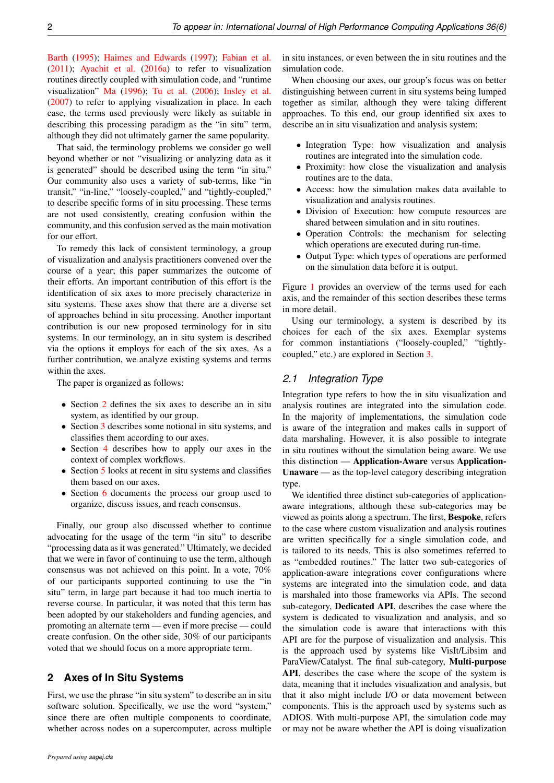[Barth](#page-10-2) [\(1995\)](#page-10-2); [Haimes and Edwards](#page-10-3) [\(1997\)](#page-10-3); [Fabian et al.](#page-10-4) [\(2011\)](#page-10-4); [Ayachit et al.](#page-10-5) [\(2016a\)](#page-10-5) to refer to visualization routines directly coupled with simulation code, and "runtime visualization" [Ma](#page-11-0) [\(1996\)](#page-11-0); [Tu et al.](#page-11-1) [\(2006\)](#page-11-1); [Insley et al.](#page-11-2) [\(2007\)](#page-11-2) to refer to applying visualization in place. In each case, the terms used previously were likely as suitable in describing this processing paradigm as the "in situ" term, although they did not ultimately garner the same popularity.

That said, the terminology problems we consider go well beyond whether or not "visualizing or analyzing data as it is generated" should be described using the term "in situ." Our community also uses a variety of sub-terms, like "in transit," "in-line," "loosely-coupled," and "tightly-coupled," to describe specific forms of in situ processing. These terms are not used consistently, creating confusion within the community, and this confusion served as the main motivation for our effort.

To remedy this lack of consistent terminology, a group of visualization and analysis practitioners convened over the course of a year; this paper summarizes the outcome of their efforts. An important contribution of this effort is the identification of six axes to more precisely characterize in situ systems. These axes show that there are a diverse set of approaches behind in situ processing. Another important contribution is our new proposed terminology for in situ systems. In our terminology, an in situ system is described via the options it employs for each of the six axes. As a further contribution, we analyze existing systems and terms within the axes.

The paper is organized as follows:

- Section [2](#page-2-0) defines the six axes to describe an in situ system, as identified by our group.
- Section [3](#page-5-0) describes some notional in situ systems, and classifies them according to our axes.
- Section [4](#page-6-0) describes how to apply our axes in the context of complex workflows.
- Section [5](#page-6-1) looks at recent in situ systems and classifies them based on our axes.
- Section [6](#page-8-0) documents the process our group used to organize, discuss issues, and reach consensus.

Finally, our group also discussed whether to continue advocating for the usage of the term "in situ" to describe "processing data as it was generated." Ultimately, we decided that we were in favor of continuing to use the term, although consensus was not achieved on this point. In a vote, 70% of our participants supported continuing to use the "in situ" term, in large part because it had too much inertia to reverse course. In particular, it was noted that this term has been adopted by our stakeholders and funding agencies, and promoting an alternate term — even if more precise — could create confusion. On the other side, 30% of our participants voted that we should focus on a more appropriate term.

## <span id="page-2-0"></span>**2 Axes of In Situ Systems**

First, we use the phrase "in situ system" to describe an in situ software solution. Specifically, we use the word "system," since there are often multiple components to coordinate, whether across nodes on a supercomputer, across multiple

in situ instances, or even between the in situ routines and the simulation code.

When choosing our axes, our group's focus was on better distinguishing between current in situ systems being lumped together as similar, although they were taking different approaches. To this end, our group identified six axes to describe an in situ visualization and analysis system:

- Integration Type: how visualization and analysis routines are integrated into the simulation code.
- Proximity: how close the visualization and analysis routines are to the data.
- Access: how the simulation makes data available to visualization and analysis routines.
- Division of Execution: how compute resources are shared between simulation and in situ routines.
- Operation Controls: the mechanism for selecting which operations are executed during run-time.
- Output Type: which types of operations are performed on the simulation data before it is output.

Figure [1](#page-3-0) provides an overview of the terms used for each axis, and the remainder of this section describes these terms in more detail.

Using our terminology, a system is described by its choices for each of the six axes. Exemplar systems for common instantiations ("loosely-coupled," "tightlycoupled," etc.) are explored in Section [3.](#page-5-0)

#### *2.1 Integration Type*

Integration type refers to how the in situ visualization and analysis routines are integrated into the simulation code. In the majority of implementations, the simulation code is aware of the integration and makes calls in support of data marshaling. However, it is also possible to integrate in situ routines without the simulation being aware. We use this distinction — Application-Aware versus Application-Unaware — as the top-level category describing integration type.

We identified three distinct sub-categories of applicationaware integrations, although these sub-categories may be viewed as points along a spectrum. The first, Bespoke, refers to the case where custom visualization and analysis routines are written specifically for a single simulation code, and is tailored to its needs. This is also sometimes referred to as "embedded routines." The latter two sub-categories of application-aware integrations cover configurations where systems are integrated into the simulation code, and data is marshaled into those frameworks via APIs. The second sub-category, Dedicated API, describes the case where the system is dedicated to visualization and analysis, and so the simulation code is aware that interactions with this API are for the purpose of visualization and analysis. This is the approach used by systems like VisIt/Libsim and ParaView/Catalyst. The final sub-category, Multi-purpose API, describes the case where the scope of the system is data, meaning that it includes visualization and analysis, but that it also might include I/O or data movement between components. This is the approach used by systems such as ADIOS. With multi-purpose API, the simulation code may or may not be aware whether the API is doing visualization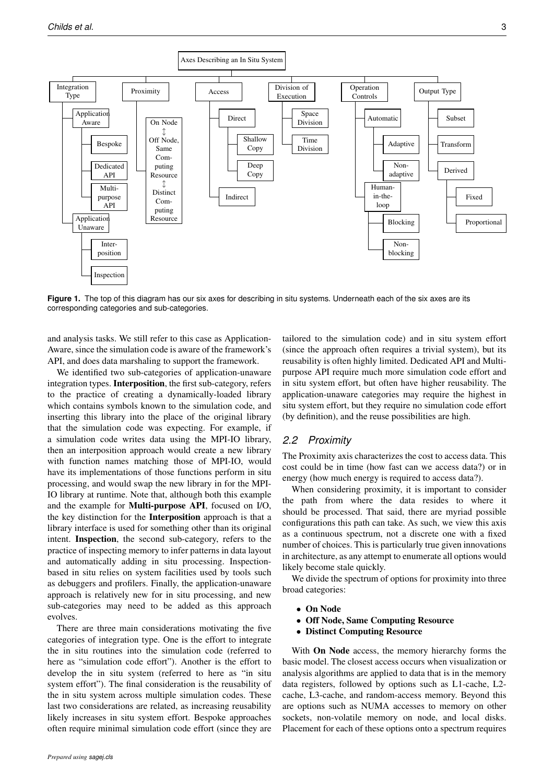<span id="page-3-0"></span>

Figure 1. The top of this diagram has our six axes for describing in situ systems. Underneath each of the six axes are its corresponding categories and sub-categories.

and analysis tasks. We still refer to this case as Application-Aware, since the simulation code is aware of the framework's API, and does data marshaling to support the framework.

We identified two sub-categories of application-unaware integration types. Interposition, the first sub-category, refers to the practice of creating a dynamically-loaded library which contains symbols known to the simulation code, and inserting this library into the place of the original library that the simulation code was expecting. For example, if a simulation code writes data using the MPI-IO library, then an interposition approach would create a new library with function names matching those of MPI-IO, would have its implementations of those functions perform in situ processing, and would swap the new library in for the MPI-IO library at runtime. Note that, although both this example and the example for Multi-purpose API, focused on I/O, the key distinction for the Interposition approach is that a library interface is used for something other than its original intent. Inspection, the second sub-category, refers to the practice of inspecting memory to infer patterns in data layout and automatically adding in situ processing. Inspectionbased in situ relies on system facilities used by tools such as debuggers and profilers. Finally, the application-unaware approach is relatively new for in situ processing, and new sub-categories may need to be added as this approach evolves.

There are three main considerations motivating the five categories of integration type. One is the effort to integrate the in situ routines into the simulation code (referred to here as "simulation code effort"). Another is the effort to develop the in situ system (referred to here as "in situ system effort"). The final consideration is the reusability of the in situ system across multiple simulation codes. These last two considerations are related, as increasing reusability likely increases in situ system effort. Bespoke approaches often require minimal simulation code effort (since they are

tailored to the simulation code) and in situ system effort (since the approach often requires a trivial system), but its reusability is often highly limited. Dedicated API and Multipurpose API require much more simulation code effort and in situ system effort, but often have higher reusability. The application-unaware categories may require the highest in situ system effort, but they require no simulation code effort (by definition), and the reuse possibilities are high.

#### *2.2 Proximity*

The Proximity axis characterizes the cost to access data. This cost could be in time (how fast can we access data?) or in energy (how much energy is required to access data?).

When considering proximity, it is important to consider the path from where the data resides to where it should be processed. That said, there are myriad possible configurations this path can take. As such, we view this axis as a continuous spectrum, not a discrete one with a fixed number of choices. This is particularly true given innovations in architecture, as any attempt to enumerate all options would likely become stale quickly.

We divide the spectrum of options for proximity into three broad categories:

- On Node
- Off Node, Same Computing Resource
- Distinct Computing Resource

With On Node access, the memory hierarchy forms the basic model. The closest access occurs when visualization or analysis algorithms are applied to data that is in the memory data registers, followed by options such as L1-cache, L2 cache, L3-cache, and random-access memory. Beyond this are options such as NUMA accesses to memory on other sockets, non-volatile memory on node, and local disks. Placement for each of these options onto a spectrum requires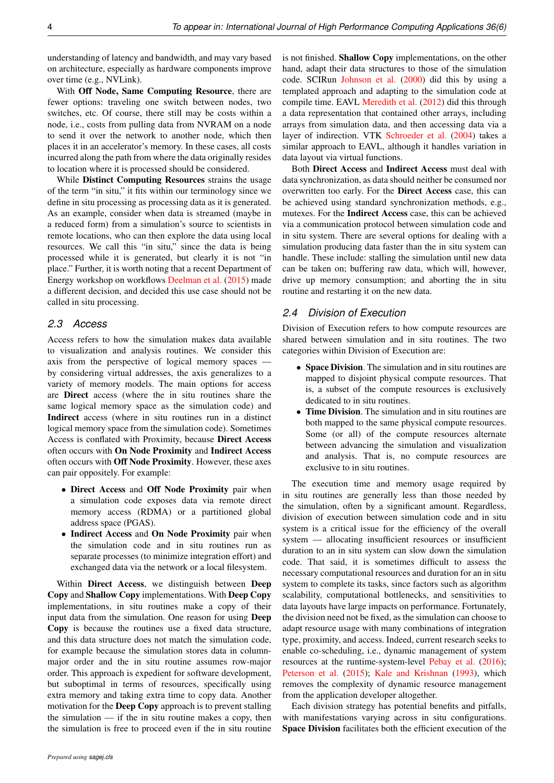understanding of latency and bandwidth, and may vary based on architecture, especially as hardware components improve over time (e.g., NVLink).

With Off Node, Same Computing Resource, there are fewer options: traveling one switch between nodes, two switches, etc. Of course, there still may be costs within a node, i.e., costs from pulling data from NVRAM on a node to send it over the network to another node, which then places it in an accelerator's memory. In these cases, all costs incurred along the path from where the data originally resides to location where it is processed should be considered.

While Distinct Computing Resources strains the usage of the term "in situ," it fits within our terminology since we define in situ processing as processing data as it is generated. As an example, consider when data is streamed (maybe in a reduced form) from a simulation's source to scientists in remote locations, who can then explore the data using local resources. We call this "in situ," since the data is being processed while it is generated, but clearly it is not "in place." Further, it is worth noting that a recent Department of Energy workshop on workflows [Deelman et al.](#page-10-6) [\(2015\)](#page-10-6) made a different decision, and decided this use case should not be called in situ processing.

#### *2.3 Access*

Access refers to how the simulation makes data available to visualization and analysis routines. We consider this axis from the perspective of logical memory spaces by considering virtual addresses, the axis generalizes to a variety of memory models. The main options for access are Direct access (where the in situ routines share the same logical memory space as the simulation code) and Indirect access (where in situ routines run in a distinct logical memory space from the simulation code). Sometimes Access is conflated with Proximity, because Direct Access often occurs with On Node Proximity and Indirect Access often occurs with Off Node Proximity. However, these axes can pair oppositely. For example:

- Direct Access and Off Node Proximity pair when a simulation code exposes data via remote direct memory access (RDMA) or a partitioned global address space (PGAS).
- Indirect Access and On Node Proximity pair when the simulation code and in situ routines run as separate processes (to minimize integration effort) and exchanged data via the network or a local filesystem.

Within Direct Access, we distinguish between Deep Copy and Shallow Copy implementations. With Deep Copy implementations, in situ routines make a copy of their input data from the simulation. One reason for using Deep Copy is because the routines use a fixed data structure, and this data structure does not match the simulation code, for example because the simulation stores data in columnmajor order and the in situ routine assumes row-major order. This approach is expedient for software development, but suboptimal in terms of resources, specifically using extra memory and taking extra time to copy data. Another motivation for the Deep Copy approach is to prevent stalling the simulation  $-$  if the in situ routine makes a copy, then the simulation is free to proceed even if the in situ routine

is not finished. Shallow Copy implementations, on the other hand, adapt their data structures to those of the simulation code. SCIRun [Johnson et al.](#page-11-3) [\(2000\)](#page-11-3) did this by using a templated approach and adapting to the simulation code at compile time. EAVL [Meredith et al.](#page-11-4) [\(2012\)](#page-11-4) did this through a data representation that contained other arrays, including arrays from simulation data, and then accessing data via a layer of indirection. VTK [Schroeder et al.](#page-11-5) [\(2004\)](#page-11-5) takes a similar approach to EAVL, although it handles variation in data layout via virtual functions.

Both Direct Access and Indirect Access must deal with data synchronization, as data should neither be consumed nor overwritten too early. For the Direct Access case, this can be achieved using standard synchronization methods, e.g., mutexes. For the Indirect Access case, this can be achieved via a communication protocol between simulation code and in situ system. There are several options for dealing with a simulation producing data faster than the in situ system can handle. These include: stalling the simulation until new data can be taken on; buffering raw data, which will, however, drive up memory consumption; and aborting the in situ routine and restarting it on the new data.

#### *2.4 Division of Execution*

Division of Execution refers to how compute resources are shared between simulation and in situ routines. The two categories within Division of Execution are:

- Space Division. The simulation and in situ routines are mapped to disjoint physical compute resources. That is, a subset of the compute resources is exclusively dedicated to in situ routines.
- Time Division. The simulation and in situ routines are both mapped to the same physical compute resources. Some (or all) of the compute resources alternate between advancing the simulation and visualization and analysis. That is, no compute resources are exclusive to in situ routines.

The execution time and memory usage required by in situ routines are generally less than those needed by the simulation, often by a significant amount. Regardless, division of execution between simulation code and in situ system is a critical issue for the efficiency of the overall system — allocating insufficient resources or insufficient duration to an in situ system can slow down the simulation code. That said, it is sometimes difficult to assess the necessary computational resources and duration for an in situ system to complete its tasks, since factors such as algorithm scalability, computational bottlenecks, and sensitivities to data layouts have large impacts on performance. Fortunately, the division need not be fixed, as the simulation can choose to adapt resource usage with many combinations of integration type, proximity, and access. Indeed, current research seeks to enable co-scheduling, i.e., dynamic management of system resources at the runtime-system-level [Pebay et al.](#page-11-6) [\(2016\)](#page-11-6); [Peterson et al.](#page-11-7) [\(2015\)](#page-11-7); [Kale and Krishnan](#page-11-8) [\(1993\)](#page-11-8), which removes the complexity of dynamic resource management from the application developer altogether.

Each division strategy has potential benefits and pitfalls, with manifestations varying across in situ configurations. Space Division facilitates both the efficient execution of the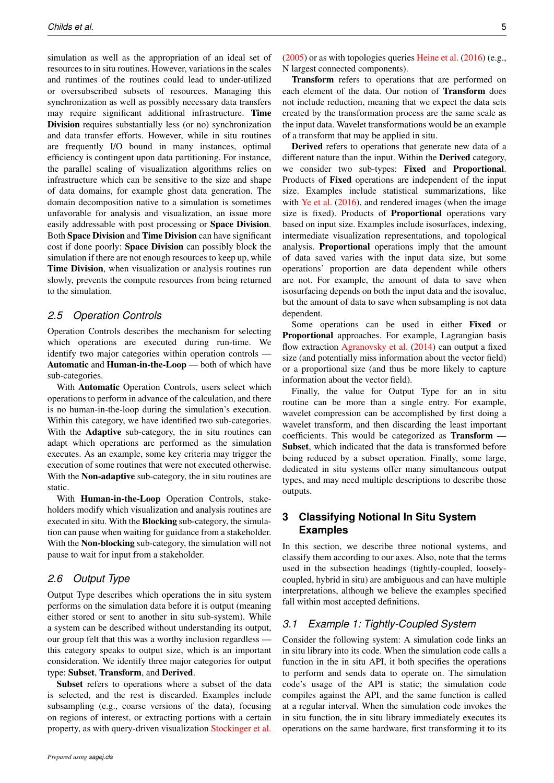simulation as well as the appropriation of an ideal set of resources to in situ routines. However, variations in the scales and runtimes of the routines could lead to under-utilized or oversubscribed subsets of resources. Managing this synchronization as well as possibly necessary data transfers may require significant additional infrastructure. Time Division requires substantially less (or no) synchronization and data transfer efforts. However, while in situ routines are frequently I/O bound in many instances, optimal efficiency is contingent upon data partitioning. For instance, the parallel scaling of visualization algorithms relies on infrastructure which can be sensitive to the size and shape of data domains, for example ghost data generation. The domain decomposition native to a simulation is sometimes unfavorable for analysis and visualization, an issue more easily addressable with post processing or Space Division. Both Space Division and Time Division can have significant cost if done poorly: Space Division can possibly block the simulation if there are not enough resources to keep up, while Time Division, when visualization or analysis routines run slowly, prevents the compute resources from being returned to the simulation.

#### *2.5 Operation Controls*

Operation Controls describes the mechanism for selecting which operations are executed during run-time. We identify two major categories within operation controls — Automatic and Human-in-the-Loop — both of which have sub-categories.

With Automatic Operation Controls, users select which operations to perform in advance of the calculation, and there is no human-in-the-loop during the simulation's execution. Within this category, we have identified two sub-categories. With the Adaptive sub-category, the in situ routines can adapt which operations are performed as the simulation executes. As an example, some key criteria may trigger the execution of some routines that were not executed otherwise. With the **Non-adaptive** sub-category, the in situ routines are static.

With Human-in-the-Loop Operation Controls, stakeholders modify which visualization and analysis routines are executed in situ. With the Blocking sub-category, the simulation can pause when waiting for guidance from a stakeholder. With the Non-blocking sub-category, the simulation will not pause to wait for input from a stakeholder.

## *2.6 Output Type*

Output Type describes which operations the in situ system performs on the simulation data before it is output (meaning either stored or sent to another in situ sub-system). While a system can be described without understanding its output, our group felt that this was a worthy inclusion regardless this category speaks to output size, which is an important consideration. We identify three major categories for output type: Subset, Transform, and Derived.

Subset refers to operations where a subset of the data is selected, and the rest is discarded. Examples include subsampling (e.g., coarse versions of the data), focusing on regions of interest, or extracting portions with a certain property, as with query-driven visualization [Stockinger et al.](#page-11-9)

[\(2005\)](#page-11-9) or as with topologies queries [Heine et al.](#page-10-7) [\(2016\)](#page-10-7) (e.g., N largest connected components).

Transform refers to operations that are performed on each element of the data. Our notion of Transform does not include reduction, meaning that we expect the data sets created by the transformation process are the same scale as the input data. Wavelet transformations would be an example of a transform that may be applied in situ.

Derived refers to operations that generate new data of a different nature than the input. Within the Derived category, we consider two sub-types: Fixed and Proportional. Products of Fixed operations are independent of the input size. Examples include statistical summarizations, like with [Ye et al.](#page-12-0) [\(2016\)](#page-12-0), and rendered images (when the image size is fixed). Products of Proportional operations vary based on input size. Examples include isosurfaces, indexing, intermediate visualization representations, and topological analysis. Proportional operations imply that the amount of data saved varies with the input data size, but some operations' proportion are data dependent while others are not. For example, the amount of data to save when isosurfacing depends on both the input data and the isovalue, but the amount of data to save when subsampling is not data dependent.

Some operations can be used in either Fixed or Proportional approaches. For example, Lagrangian basis flow extraction [Agranovsky et al.](#page-10-8) [\(2014\)](#page-10-8) can output a fixed size (and potentially miss information about the vector field) or a proportional size (and thus be more likely to capture information about the vector field).

Finally, the value for Output Type for an in situ routine can be more than a single entry. For example, wavelet compression can be accomplished by first doing a wavelet transform, and then discarding the least important coefficients. This would be categorized as Transform — Subset, which indicated that the data is transformed before being reduced by a subset operation. Finally, some large, dedicated in situ systems offer many simultaneous output types, and may need multiple descriptions to describe those outputs.

# <span id="page-5-0"></span>**3 Classifying Notional In Situ System Examples**

In this section, we describe three notional systems, and classify them according to our axes. Also, note that the terms used in the subsection headings (tightly-coupled, looselycoupled, hybrid in situ) are ambiguous and can have multiple interpretations, although we believe the examples specified fall within most accepted definitions.

### *3.1 Example 1: Tightly-Coupled System*

Consider the following system: A simulation code links an in situ library into its code. When the simulation code calls a function in the in situ API, it both specifies the operations to perform and sends data to operate on. The simulation code's usage of the API is static; the simulation code compiles against the API, and the same function is called at a regular interval. When the simulation code invokes the in situ function, the in situ library immediately executes its operations on the same hardware, first transforming it to its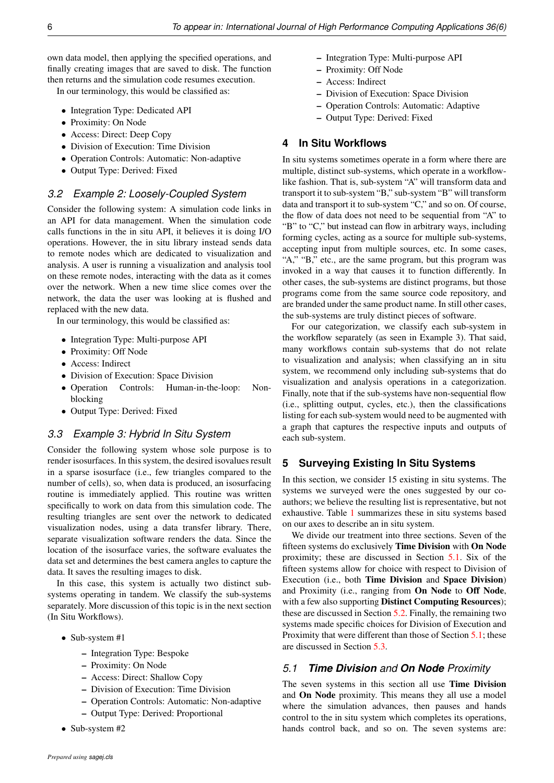own data model, then applying the specified operations, and finally creating images that are saved to disk. The function then returns and the simulation code resumes execution.

In our terminology, this would be classified as:

- Integration Type: Dedicated API
- Proximity: On Node
- Access: Direct: Deep Copy
- Division of Execution: Time Division
- Operation Controls: Automatic: Non-adaptive
- Output Type: Derived: Fixed

#### *3.2 Example 2: Loosely-Coupled System*

Consider the following system: A simulation code links in an API for data management. When the simulation code calls functions in the in situ API, it believes it is doing I/O operations. However, the in situ library instead sends data to remote nodes which are dedicated to visualization and analysis. A user is running a visualization and analysis tool on these remote nodes, interacting with the data as it comes over the network. When a new time slice comes over the network, the data the user was looking at is flushed and replaced with the new data.

In our terminology, this would be classified as:

- Integration Type: Multi-purpose API
- Proximity: Off Node
- Access: Indirect
- Division of Execution: Space Division
- Operation Controls: Human-in-the-loop: Nonblocking
- Output Type: Derived: Fixed

### *3.3 Example 3: Hybrid In Situ System*

Consider the following system whose sole purpose is to render isosurfaces. In this system, the desired isovalues result in a sparse isosurface (i.e., few triangles compared to the number of cells), so, when data is produced, an isosurfacing routine is immediately applied. This routine was written specifically to work on data from this simulation code. The resulting triangles are sent over the network to dedicated visualization nodes, using a data transfer library. There, separate visualization software renders the data. Since the location of the isosurface varies, the software evaluates the data set and determines the best camera angles to capture the data. It saves the resulting images to disk.

In this case, this system is actually two distinct subsystems operating in tandem. We classify the sub-systems separately. More discussion of this topic is in the next section (In Situ Workflows).

- Sub-system #1
	- Integration Type: Bespoke
	- Proximity: On Node
	- Access: Direct: Shallow Copy
	- Division of Execution: Time Division
	- Operation Controls: Automatic: Non-adaptive
	- Output Type: Derived: Proportional
- Sub-system #2

– Integration Type: Multi-purpose API

- Proximity: Off Node
- Access: Indirect
- Division of Execution: Space Division
- Operation Controls: Automatic: Adaptive
- Output Type: Derived: Fixed

#### <span id="page-6-0"></span>**4 In Situ Workflows**

In situ systems sometimes operate in a form where there are multiple, distinct sub-systems, which operate in a workflowlike fashion. That is, sub-system "A" will transform data and transport it to sub-system "B," sub-system "B" will transform data and transport it to sub-system "C," and so on. Of course, the flow of data does not need to be sequential from "A" to "B" to "C," but instead can flow in arbitrary ways, including forming cycles, acting as a source for multiple sub-systems, accepting input from multiple sources, etc. In some cases, "A," "B," etc., are the same program, but this program was invoked in a way that causes it to function differently. In other cases, the sub-systems are distinct programs, but those programs come from the same source code repository, and are branded under the same product name. In still other cases, the sub-systems are truly distinct pieces of software.

For our categorization, we classify each sub-system in the workflow separately (as seen in Example 3). That said, many workflows contain sub-systems that do not relate to visualization and analysis; when classifying an in situ system, we recommend only including sub-systems that do visualization and analysis operations in a categorization. Finally, note that if the sub-systems have non-sequential flow (i.e., splitting output, cycles, etc.), then the classifications listing for each sub-system would need to be augmented with a graph that captures the respective inputs and outputs of each sub-system.

## <span id="page-6-1"></span>**5 Surveying Existing In Situ Systems**

In this section, we consider 15 existing in situ systems. The systems we surveyed were the ones suggested by our coauthors; we believe the resulting list is representative, but not exhaustive. Table [1](#page-9-0) summarizes these in situ systems based on our axes to describe an in situ system.

We divide our treatment into three sections. Seven of the fifteen systems do exclusively Time Division with On Node proximity; these are discussed in Section [5.1.](#page-6-2) Six of the fifteen systems allow for choice with respect to Division of Execution (i.e., both Time Division and Space Division) and Proximity (i.e., ranging from On Node to Off Node, with a few also supporting **Distinct Computing Resources**); these are discussed in Section [5.2.](#page-7-0) Finally, the remaining two systems made specific choices for Division of Execution and Proximity that were different than those of Section [5.1;](#page-6-2) these are discussed in Section [5.3.](#page-8-1)

#### <span id="page-6-2"></span>*5.1 Time Division and On Node Proximity*

The seven systems in this section all use **Time Division** and On Node proximity. This means they all use a model where the simulation advances, then pauses and hands control to the in situ system which completes its operations, hands control back, and so on. The seven systems are: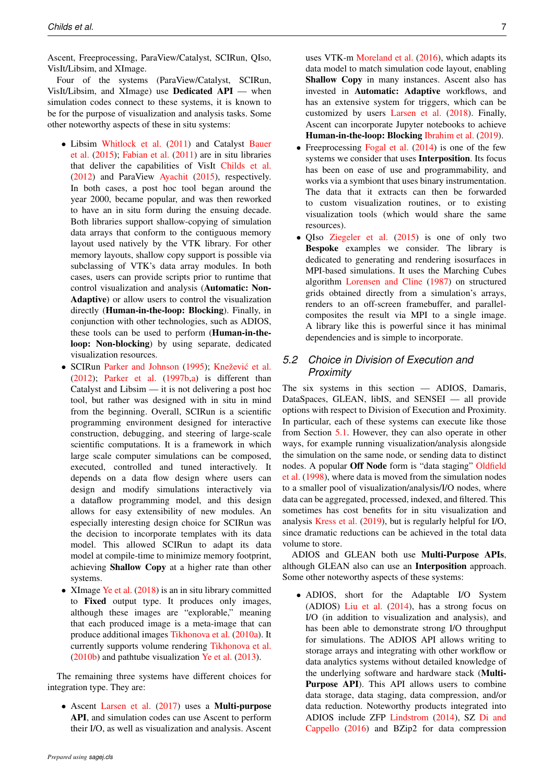Ascent, Freeprocessing, ParaView/Catalyst, SCIRun, QIso, VisIt/Libsim, and XImage.

Four of the systems (ParaView/Catalyst, SCIRun, VisIt/Libsim, and XImage) use Dedicated API — when simulation codes connect to these systems, it is known to be for the purpose of visualization and analysis tasks. Some other noteworthy aspects of these in situ systems:

- Libsim [Whitlock et al.](#page-12-1) [\(2011\)](#page-12-1) and Catalyst [Bauer](#page-10-9) [et al.](#page-10-9) [\(2015\)](#page-10-9); [Fabian et al.](#page-10-4) [\(2011\)](#page-10-4) are in situ libraries that deliver the capabilities of VisIt [Childs et al.](#page-10-10) [\(2012\)](#page-10-10) and ParaView [Ayachit](#page-10-11) [\(2015\)](#page-10-11), respectively. In both cases, a post hoc tool began around the year 2000, became popular, and was then reworked to have an in situ form during the ensuing decade. Both libraries support shallow-copying of simulation data arrays that conform to the contiguous memory layout used natively by the VTK library. For other memory layouts, shallow copy support is possible via subclassing of VTK's data array modules. In both cases, users can provide scripts prior to runtime that control visualization and analysis (Automatic: Non-Adaptive) or allow users to control the visualization directly (Human-in-the-loop: Blocking). Finally, in conjunction with other technologies, such as ADIOS, these tools can be used to perform (Human-in-theloop: Non-blocking) by using separate, dedicated visualization resources.
- SCIRun [Parker and Johnson](#page-11-10) [\(1995\)](#page-11-10); Knežević et al. [\(2012\)](#page-11-11); [Parker et al.](#page-11-12) [\(1997b,](#page-11-12)[a\)](#page-11-13) is different than Catalyst and Libsim — it is not delivering a post hoc tool, but rather was designed with in situ in mind from the beginning. Overall, SCIRun is a scientific programming environment designed for interactive construction, debugging, and steering of large-scale scientific computations. It is a framework in which large scale computer simulations can be composed, executed, controlled and tuned interactively. It depends on a data flow design where users can design and modify simulations interactively via a dataflow programming model, and this design allows for easy extensibility of new modules. An especially interesting design choice for SCIRun was the decision to incorporate templates with its data model. This allowed SCIRun to adapt its data model at compile-time to minimize memory footprint, achieving Shallow Copy at a higher rate than other systems.
- XImage [Ye et al.](#page-12-2) [\(2018\)](#page-12-2) is an in situ library committed to Fixed output type. It produces only images, although these images are "explorable," meaning that each produced image is a meta-image that can produce additional images [Tikhonova et al.](#page-11-14) [\(2010a\)](#page-11-14). It currently supports volume rendering [Tikhonova et al.](#page-11-15) [\(2010b\)](#page-11-15) and pathtube visualization [Ye et al.](#page-12-3) [\(2013\)](#page-12-3).

The remaining three systems have different choices for integration type. They are:

• Ascent [Larsen et al.](#page-11-16) [\(2017\)](#page-11-16) uses a Multi-purpose API, and simulation codes can use Ascent to perform their I/O, as well as visualization and analysis. Ascent uses VTK-m [Moreland et al.](#page-11-17) [\(2016\)](#page-11-17), which adapts its data model to match simulation code layout, enabling Shallow Copy in many instances. Ascent also has invested in Automatic: Adaptive workflows, and has an extensive system for triggers, which can be customized by users [Larsen et al.](#page-11-18) [\(2018\)](#page-11-18). Finally, Ascent can incorporate Jupyter notebooks to achieve Human-in-the-loop: Blocking [Ibrahim et al.](#page-10-12) [\(2019\)](#page-10-12).

- Freeprocessing [Fogal et al.](#page-10-13) [\(2014\)](#page-10-13) is one of the few systems we consider that uses Interposition. Its focus has been on ease of use and programmability, and works via a symbiont that uses binary instrumentation. The data that it extracts can then be forwarded to custom visualization routines, or to existing visualization tools (which would share the same resources).
- QIso [Ziegeler et al.](#page-12-4) [\(2015\)](#page-12-4) is one of only two Bespoke examples we consider. The library is dedicated to generating and rendering isosurfaces in MPI-based simulations. It uses the Marching Cubes algorithm [Lorensen and Cline](#page-11-19) [\(1987\)](#page-11-19) on structured grids obtained directly from a simulation's arrays, renders to an off-screen framebuffer, and parallelcomposites the result via MPI to a single image. A library like this is powerful since it has minimal dependencies and is simple to incorporate.

# <span id="page-7-0"></span>*5.2 Choice in Division of Execution and Proximity*

The six systems in this section — ADIOS, Damaris, DataSpaces, GLEAN, libIS, and SENSEI — all provide options with respect to Division of Execution and Proximity. In particular, each of these systems can execute like those from Section [5.1.](#page-6-2) However, they can also operate in other ways, for example running visualization/analysis alongside the simulation on the same node, or sending data to distinct nodes. A popular Off Node form is "data staging" [Oldfield](#page-11-20) [et al.](#page-11-20) [\(1998\)](#page-11-20), where data is moved from the simulation nodes to a smaller pool of visualization/analysis/I/O nodes, where data can be aggregated, processed, indexed, and filtered. This sometimes has cost benefits for in situ visualization and analysis [Kress et al.](#page-11-21) [\(2019\)](#page-11-21), but is regularly helpful for I/O, since dramatic reductions can be achieved in the total data volume to store.

ADIOS and GLEAN both use Multi-Purpose APIs, although GLEAN also can use an Interposition approach. Some other noteworthy aspects of these systems:

• ADIOS, short for the Adaptable I/O System (ADIOS) [Liu et al.](#page-11-22) [\(2014\)](#page-11-22), has a strong focus on I/O (in addition to visualization and analysis), and has been able to demonstrate strong I/O throughput for simulations. The ADIOS API allows writing to storage arrays and integrating with other workflow or data analytics systems without detailed knowledge of the underlying software and hardware stack (Multi-Purpose API). This API allows users to combine data storage, data staging, data compression, and/or data reduction. Noteworthy products integrated into ADIOS include ZFP [Lindstrom](#page-11-23) [\(2014\)](#page-11-23), SZ [Di and](#page-10-14) [Cappello](#page-10-14) [\(2016\)](#page-10-14) and BZip2 for data compression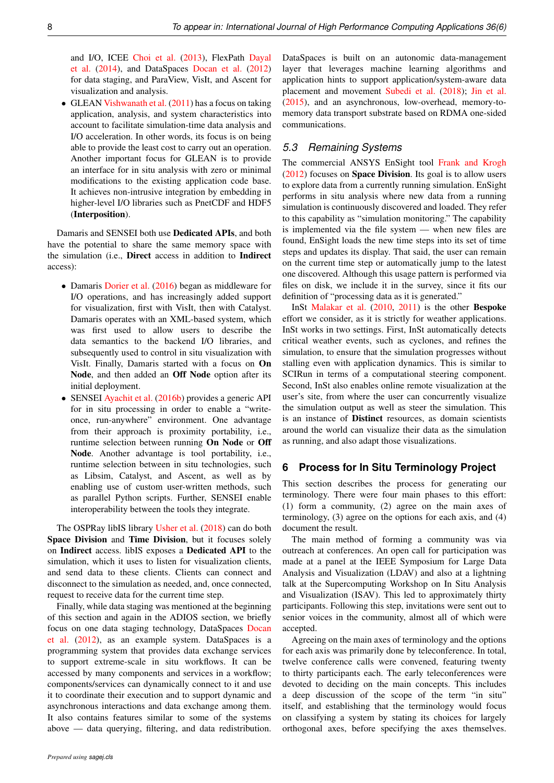and I/O, ICEE [Choi et al.](#page-10-15) [\(2013\)](#page-10-15), FlexPath [Dayal](#page-10-16) [et al.](#page-10-16) [\(2014\)](#page-10-16), and DataSpaces [Docan et al.](#page-10-17) [\(2012\)](#page-10-17) for data staging, and ParaView, VisIt, and Ascent for visualization and analysis.

• GLEAN [Vishwanath et al.](#page-12-5) [\(2011\)](#page-12-5) has a focus on taking application, analysis, and system characteristics into account to facilitate simulation-time data analysis and I/O acceleration. In other words, its focus is on being able to provide the least cost to carry out an operation. Another important focus for GLEAN is to provide an interface for in situ analysis with zero or minimal modifications to the existing application code base. It achieves non-intrusive integration by embedding in higher-level I/O libraries such as PnetCDF and HDF5 (Interposition).

Damaris and SENSEI both use Dedicated APIs, and both have the potential to share the same memory space with the simulation (i.e., Direct access in addition to Indirect access):

- Damaris [Dorier et al.](#page-10-18) [\(2016\)](#page-10-18) began as middleware for I/O operations, and has increasingly added support for visualization, first with VisIt, then with Catalyst. Damaris operates with an XML-based system, which was first used to allow users to describe the data semantics to the backend I/O libraries, and subsequently used to control in situ visualization with VisIt. Finally, Damaris started with a focus on On Node, and then added an Off Node option after its initial deployment.
- SENSEI [Ayachit et al.](#page-10-19) [\(2016b\)](#page-10-19) provides a generic API for in situ processing in order to enable a "writeonce, run-anywhere" environment. One advantage from their approach is proximity portability, i.e., runtime selection between running On Node or Off Node. Another advantage is tool portability, i.e., runtime selection between in situ technologies, such as Libsim, Catalyst, and Ascent, as well as by enabling use of custom user-written methods, such as parallel Python scripts. Further, SENSEI enable interoperability between the tools they integrate.

The OSPRay libIS library [Usher et al.](#page-12-6) [\(2018\)](#page-12-6) can do both Space Division and Time Division, but it focuses solely on Indirect access. libIS exposes a Dedicated API to the simulation, which it uses to listen for visualization clients, and send data to these clients. Clients can connect and disconnect to the simulation as needed, and, once connected, request to receive data for the current time step.

Finally, while data staging was mentioned at the beginning of this section and again in the ADIOS section, we briefly focus on one data staging technology, DataSpaces [Docan](#page-10-17) [et al.](#page-10-17) [\(2012\)](#page-10-17), as an example system. DataSpaces is a programming system that provides data exchange services to support extreme-scale in situ workflows. It can be accessed by many components and services in a workflow; components/services can dynamically connect to it and use it to coordinate their execution and to support dynamic and asynchronous interactions and data exchange among them. It also contains features similar to some of the systems above — data querying, filtering, and data redistribution.

DataSpaces is built on an autonomic data-management layer that leverages machine learning algorithms and application hints to support application/system-aware data placement and movement [Subedi et al.](#page-11-24) [\(2018\)](#page-11-24); [Jin et al.](#page-11-25) [\(2015\)](#page-11-25), and an asynchronous, low-overhead, memory-tomemory data transport substrate based on RDMA one-sided communications.

# <span id="page-8-1"></span>*5.3 Remaining Systems*

The commercial ANSYS EnSight tool [Frank and Krogh](#page-10-20)  $(2012)$  focuses on **Space Division**. Its goal is to allow users to explore data from a currently running simulation. EnSight performs in situ analysis where new data from a running simulation is continuously discovered and loaded. They refer to this capability as "simulation monitoring." The capability is implemented via the file system — when new files are found, EnSight loads the new time steps into its set of time steps and updates its display. That said, the user can remain on the current time step or automatically jump to the latest one discovered. Although this usage pattern is performed via files on disk, we include it in the survey, since it fits our definition of "processing data as it is generated."

InSt [Malakar et al.](#page-11-26) [\(2010,](#page-11-26) [2011\)](#page-11-27) is the other Bespoke effort we consider, as it is strictly for weather applications. InSt works in two settings. First, InSt automatically detects critical weather events, such as cyclones, and refines the simulation, to ensure that the simulation progresses without stalling even with application dynamics. This is similar to SCIRun in terms of a computational steering component. Second, InSt also enables online remote visualization at the user's site, from where the user can concurrently visualize the simulation output as well as steer the simulation. This is an instance of Distinct resources, as domain scientists around the world can visualize their data as the simulation as running, and also adapt those visualizations.

# <span id="page-8-0"></span>**6 Process for In Situ Terminology Project**

This section describes the process for generating our terminology. There were four main phases to this effort: (1) form a community, (2) agree on the main axes of terminology, (3) agree on the options for each axis, and (4) document the result.

The main method of forming a community was via outreach at conferences. An open call for participation was made at a panel at the IEEE Symposium for Large Data Analysis and Visualization (LDAV) and also at a lightning talk at the Supercomputing Workshop on In Situ Analysis and Visualization (ISAV). This led to approximately thirty participants. Following this step, invitations were sent out to senior voices in the community, almost all of which were accepted.

Agreeing on the main axes of terminology and the options for each axis was primarily done by teleconference. In total, twelve conference calls were convened, featuring twenty to thirty participants each. The early teleconferences were devoted to deciding on the main concepts. This includes a deep discussion of the scope of the term "in situ" itself, and establishing that the terminology would focus on classifying a system by stating its choices for largely orthogonal axes, before specifying the axes themselves.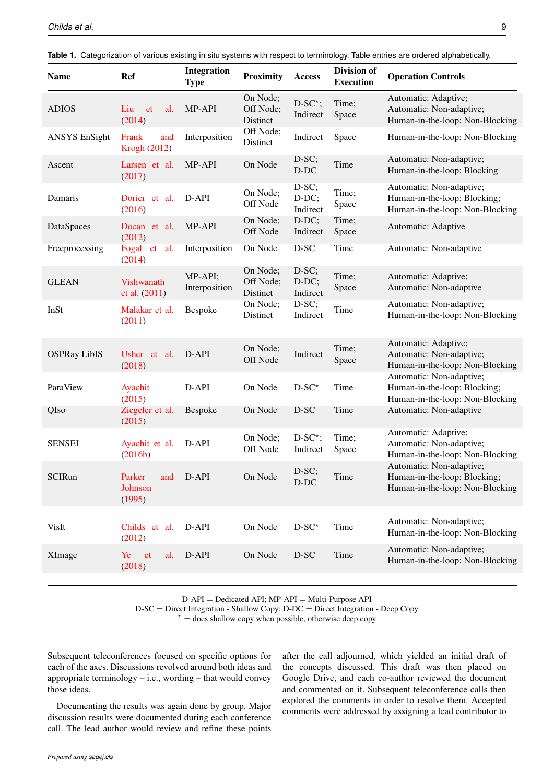| <b>Name</b>          | <b>Ref</b>                            | Integration<br><b>Type</b> | <b>Proximity</b>                  | Access                       | Division of<br><b>Execution</b> | <b>Operation Controls</b>                                                                   |
|----------------------|---------------------------------------|----------------------------|-----------------------------------|------------------------------|---------------------------------|---------------------------------------------------------------------------------------------|
| <b>ADIOS</b>         | Liu<br>al.<br>et<br>(2014)            | MP-API                     | On Node;<br>Off Node;<br>Distinct | $D-SC^*$ ;<br>Indirect       | Time;<br>Space                  | Automatic: Adaptive;<br>Automatic: Non-adaptive;<br>Human-in-the-loop: Non-Blocking         |
| <b>ANSYS EnSight</b> | Frank<br>and<br>Krogh (2012)          | Interposition              | Off Node;<br>Distinct             | Indirect                     | Space                           | Human-in-the-loop: Non-Blocking                                                             |
| Ascent               | Larsen et al.<br>(2017)               | MP-API                     | On Node                           | $D-SC;$<br>$D-DC$            | Time                            | Automatic: Non-adaptive;<br>Human-in-the-loop: Blocking                                     |
| Damaris              | Dorier et al.<br>(2016)               | D-API                      | On Node;<br>Off Node              | $D-SC;$<br>D-DC;<br>Indirect | Time;<br>Space                  | Automatic: Non-adaptive;<br>Human-in-the-loop: Blocking;<br>Human-in-the-loop: Non-Blocking |
| DataSpaces           | Docan et al.<br>(2012)                | MP-API                     | On Node;<br>Off Node              | D-DC;<br>Indirect            | Time;<br>Space                  | Automatic: Adaptive                                                                         |
| Freeprocessing       | Fogal et al.<br>(2014)                | Interposition              | On Node                           | $D-SC$                       | Time                            | Automatic: Non-adaptive                                                                     |
| <b>GLEAN</b>         | <b>Vishwanath</b><br>et al. (2011)    | MP-API;<br>Interposition   | On Node;<br>Off Node;<br>Distinct | $D-SC;$<br>D-DC;<br>Indirect | Time;<br>Space                  | Automatic: Adaptive;<br>Automatic: Non-adaptive                                             |
| InSt                 | Malakar et al.<br>(2011)              | Bespoke                    | On Node;<br>Distinct              | D-SC;<br>Indirect            | Time                            | Automatic: Non-adaptive;<br>Human-in-the-loop: Non-Blocking                                 |
| <b>OSPRay LibIS</b>  | Usher et al.<br>(2018)                | D-API                      | On Node;<br>Off Node              | Indirect                     | Time;<br>Space                  | Automatic: Adaptive;<br>Automatic: Non-adaptive;<br>Human-in-the-loop: Non-Blocking         |
| ParaView             | Ayachit<br>(2015)                     | D-API                      | On Node                           | $D-SC^*$                     | Time                            | Automatic: Non-adaptive;<br>Human-in-the-loop: Blocking;<br>Human-in-the-loop: Non-Blocking |
| QIso                 | Ziegeler et al.<br>(2015)             | Bespoke                    | On Node                           | D-SC                         | Time                            | Automatic: Non-adaptive                                                                     |
| <b>SENSEI</b>        | Ayachit et al.<br>(2016b)             | D-API                      | On Node;<br>Off Node              | $D-SC^*$ ;<br>Indirect       | Time;<br>Space                  | Automatic: Adaptive;<br>Automatic: Non-adaptive;<br>Human-in-the-loop: Non-Blocking         |
| SCIRun               | Parker and D-API<br>Johnson<br>(1995) |                            | On Node                           | D-SC;<br>D-DC                | Time                            | Automatic: Non-adaptive;<br>Human-in-the-loop: Blocking;<br>Human-in-the-loop: Non-Blocking |
| VisIt                | Childs et al.<br>(2012)               | D-API                      | On Node                           | $D-SC^*$                     | Time                            | Automatic: Non-adaptive;<br>Human-in-the-loop: Non-Blocking                                 |
| XImage               | Ye<br>et<br>al.<br>(2018)             | D-API                      | On Node                           | D-SC                         | Time                            | Automatic: Non-adaptive;<br>Human-in-the-loop: Non-Blocking                                 |
|                      |                                       |                            |                                   |                              |                                 |                                                                                             |

<span id="page-9-0"></span>**Table 1.** Categorization of various existing in situ systems with respect to terminology. Table entries are ordered alphabetically.

 $D-API = Dedicated API$ ;  $MP-API = Multi-Purpose API$ 

D-SC = Direct Integration - Shallow Copy; D-DC = Direct Integration - Deep Copy

 $* =$  does shallow copy when possible, otherwise deep copy

Subsequent teleconferences focused on specific options for each of the axes. Discussions revolved around both ideas and appropriate terminology  $-$  i.e., wording  $-$  that would convey those ideas.

Documenting the results was again done by group. Major discussion results were documented during each conference call. The lead author would review and refine these points

after the call adjourned, which yielded an initial draft of the concepts discussed. This draft was then placed on Google Drive, and each co-author reviewed the document and commented on it. Subsequent teleconference calls then explored the comments in order to resolve them. Accepted comments were addressed by assigning a lead contributor to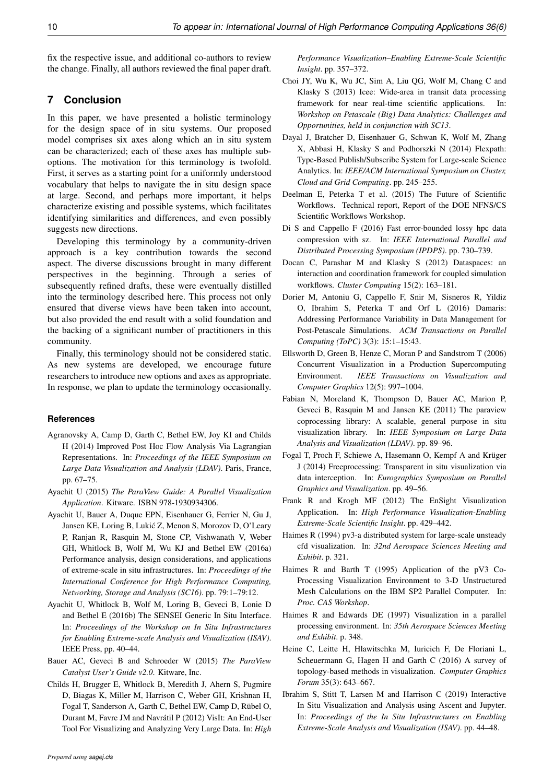fix the respective issue, and additional co-authors to review the change. Finally, all authors reviewed the final paper draft.

# **7 Conclusion**

In this paper, we have presented a holistic terminology for the design space of in situ systems. Our proposed model comprises six axes along which an in situ system can be characterized; each of these axes has multiple suboptions. The motivation for this terminology is twofold. First, it serves as a starting point for a uniformly understood vocabulary that helps to navigate the in situ design space at large. Second, and perhaps more important, it helps characterize existing and possible systems, which facilitates identifying similarities and differences, and even possibly suggests new directions.

Developing this terminology by a community-driven approach is a key contribution towards the second aspect. The diverse discussions brought in many different perspectives in the beginning. Through a series of subsequently refined drafts, these were eventually distilled into the terminology described here. This process not only ensured that diverse views have been taken into account, but also provided the end result with a solid foundation and the backing of a significant number of practitioners in this community.

Finally, this terminology should not be considered static. As new systems are developed, we encourage future researchers to introduce new options and axes as appropriate. In response, we plan to update the terminology occasionally.

#### **References**

- <span id="page-10-8"></span>Agranovsky A, Camp D, Garth C, Bethel EW, Joy KI and Childs H (2014) Improved Post Hoc Flow Analysis Via Lagrangian Representations. In: *Proceedings of the IEEE Symposium on Large Data Visualization and Analysis (LDAV)*. Paris, France, pp. 67–75.
- <span id="page-10-11"></span>Ayachit U (2015) *The ParaView Guide: A Parallel Visualization Application*. Kitware. ISBN 978-1930934306.
- <span id="page-10-5"></span>Ayachit U, Bauer A, Duque EPN, Eisenhauer G, Ferrier N, Gu J, Jansen KE, Loring B, Lukic Z, Menon S, Morozov D, O'Leary ´ P, Ranjan R, Rasquin M, Stone CP, Vishwanath V, Weber GH, Whitlock B, Wolf M, Wu KJ and Bethel EW (2016a) Performance analysis, design considerations, and applications of extreme-scale in situ infrastructures. In: *Proceedings of the International Conference for High Performance Computing, Networking, Storage and Analysis (SC16)*. pp. 79:1–79:12.
- <span id="page-10-19"></span>Ayachit U, Whitlock B, Wolf M, Loring B, Geveci B, Lonie D and Bethel E (2016b) The SENSEI Generic In Situ Interface. In: *Proceedings of the Workshop on In Situ Infrastructures for Enabling Extreme-scale Analysis and Visualization (ISAV)*. IEEE Press, pp. 40–44.
- <span id="page-10-9"></span>Bauer AC, Geveci B and Schroeder W (2015) *The ParaView Catalyst User's Guide v2.0*. Kitware, Inc.
- <span id="page-10-10"></span>Childs H, Brugger E, Whitlock B, Meredith J, Ahern S, Pugmire D, Biagas K, Miller M, Harrison C, Weber GH, Krishnan H, Fogal T, Sanderson A, Garth C, Bethel EW, Camp D, Rübel O, Durant M, Favre JM and Navratil P (2012) VisIt: An End-User ´ Tool For Visualizing and Analyzing Very Large Data. In: *High*

*Performance Visualization–Enabling Extreme-Scale Scientific Insight*. pp. 357–372.

- <span id="page-10-15"></span>Choi JY, Wu K, Wu JC, Sim A, Liu QG, Wolf M, Chang C and Klasky S (2013) Icee: Wide-area in transit data processing framework for near real-time scientific applications. In: *Workshop on Petascale (Big) Data Analytics: Challenges and Opportunities, held in conjunction with SC13*.
- <span id="page-10-16"></span>Dayal J, Bratcher D, Eisenhauer G, Schwan K, Wolf M, Zhang X, Abbasi H, Klasky S and Podhorszki N (2014) Flexpath: Type-Based Publish/Subscribe System for Large-scale Science Analytics. In: *IEEE/ACM International Symposium on Cluster, Cloud and Grid Computing*. pp. 245–255.
- <span id="page-10-6"></span>Deelman E, Peterka T et al. (2015) The Future of Scientific Workflows. Technical report, Report of the DOE NFNS/CS Scientific Workflows Workshop.
- <span id="page-10-14"></span>Di S and Cappello F (2016) Fast error-bounded lossy hpc data compression with sz. In: *IEEE International Parallel and Distributed Processing Symposium (IPDPS)*. pp. 730–739.
- <span id="page-10-17"></span>Docan C, Parashar M and Klasky S (2012) Dataspaces: an interaction and coordination framework for coupled simulation workflows. *Cluster Computing* 15(2): 163–181.
- <span id="page-10-18"></span>Dorier M, Antoniu G, Cappello F, Snir M, Sisneros R, Yildiz O, Ibrahim S, Peterka T and Orf L (2016) Damaris: Addressing Performance Variability in Data Management for Post-Petascale Simulations. *ACM Transactions on Parallel Computing (ToPC)* 3(3): 15:1–15:43.
- <span id="page-10-0"></span>Ellsworth D, Green B, Henze C, Moran P and Sandstrom T (2006) Concurrent Visualization in a Production Supercomputing Environment. *IEEE Transactions on Visualization and Computer Graphics* 12(5): 997–1004.
- <span id="page-10-4"></span>Fabian N, Moreland K, Thompson D, Bauer AC, Marion P, Geveci B, Rasquin M and Jansen KE (2011) The paraview coprocessing library: A scalable, general purpose in situ visualization library. In: *IEEE Symposium on Large Data Analysis and Visualization (LDAV)*. pp. 89–96.
- <span id="page-10-13"></span>Fogal T, Proch F, Schiewe A, Hasemann O, Kempf A and Krüger J (2014) Freeprocessing: Transparent in situ visualization via data interception. In: *Eurographics Symposium on Parallel Graphics and Visualization*. pp. 49–56.
- <span id="page-10-20"></span>Frank R and Krogh MF (2012) The EnSight Visualization Application. In: *High Performance Visualization-Enabling Extreme-Scale Scientific Insight*. pp. 429–442.
- <span id="page-10-1"></span>Haimes R (1994) pv3-a distributed system for large-scale unsteady cfd visualization. In: *32nd Aerospace Sciences Meeting and Exhibit*. p. 321.
- <span id="page-10-2"></span>Haimes R and Barth T (1995) Application of the pV3 Co-Processing Visualization Environment to 3-D Unstructured Mesh Calculations on the IBM SP2 Parallel Computer. In: *Proc. CAS Workshop*.
- <span id="page-10-3"></span>Haimes R and Edwards DE (1997) Visualization in a parallel processing environment. In: *35th Aerospace Sciences Meeting and Exhibit*. p. 348.
- <span id="page-10-7"></span>Heine C, Leitte H, Hlawitschka M, Iuricich F, De Floriani L, Scheuermann G, Hagen H and Garth C (2016) A survey of topology-based methods in visualization. *Computer Graphics Forum* 35(3): 643–667.
- <span id="page-10-12"></span>Ibrahim S, Stitt T, Larsen M and Harrison C (2019) Interactive In Situ Visualization and Analysis using Ascent and Jupyter. In: *Proceedings of the In Situ Infrastructures on Enabling Extreme-Scale Analysis and Visualization (ISAV)*. pp. 44–48.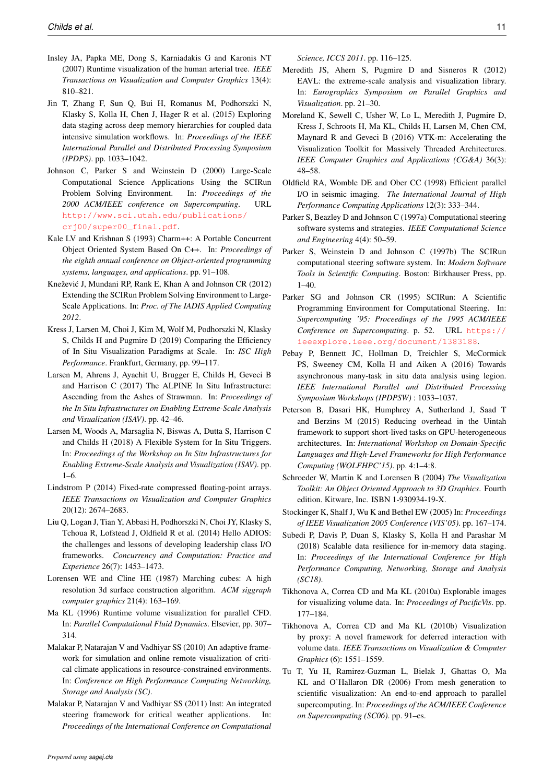- <span id="page-11-2"></span>Insley JA, Papka ME, Dong S, Karniadakis G and Karonis NT (2007) Runtime visualization of the human arterial tree. *IEEE Transactions on Visualization and Computer Graphics* 13(4): 810–821.
- <span id="page-11-25"></span>Jin T, Zhang F, Sun Q, Bui H, Romanus M, Podhorszki N, Klasky S, Kolla H, Chen J, Hager R et al. (2015) Exploring data staging across deep memory hierarchies for coupled data intensive simulation workflows. In: *Proceedings of the IEEE International Parallel and Distributed Processing Symposium (IPDPS)*. pp. 1033–1042.
- <span id="page-11-3"></span>Johnson C, Parker S and Weinstein D (2000) Large-Scale Computational Science Applications Using the SCIRun Problem Solving Environment. In: *Proceedings of the 2000 ACM/IEEE conference on Supercomputing*. URL [http://www.sci.utah.edu/publications/](http://www.sci.utah.edu/publications/crj00/super00_final.pdf) [crj00/super00\\_final.pdf](http://www.sci.utah.edu/publications/crj00/super00_final.pdf).
- <span id="page-11-8"></span>Kale LV and Krishnan S (1993) Charm++: A Portable Concurrent Object Oriented System Based On C++. In: *Proceedings of the eighth annual conference on Object-oriented programming systems, languages, and applications*. pp. 91–108.
- <span id="page-11-11"></span>Knežević J, Mundani RP, Rank E, Khan A and Johnson CR (2012) Extending the SCIRun Problem Solving Environment to Large-Scale Applications. In: *Proc. of The IADIS Applied Computing 2012*.
- <span id="page-11-21"></span>Kress J, Larsen M, Choi J, Kim M, Wolf M, Podhorszki N, Klasky S, Childs H and Pugmire D (2019) Comparing the Efficiency of In Situ Visualization Paradigms at Scale. In: *ISC High Performance*. Frankfurt, Germany, pp. 99–117.
- <span id="page-11-16"></span>Larsen M, Ahrens J, Ayachit U, Brugger E, Childs H, Geveci B and Harrison C (2017) The ALPINE In Situ Infrastructure: Ascending from the Ashes of Strawman. In: *Proceedings of the In Situ Infrastructures on Enabling Extreme-Scale Analysis and Visualization (ISAV)*. pp. 42–46.
- <span id="page-11-18"></span>Larsen M, Woods A, Marsaglia N, Biswas A, Dutta S, Harrison C and Childs H (2018) A Flexible System for In Situ Triggers. In: *Proceedings of the Workshop on In Situ Infrastructures for Enabling Extreme-Scale Analysis and Visualization (ISAV)*. pp. 1–6.
- <span id="page-11-23"></span>Lindstrom P (2014) Fixed-rate compressed floating-point arrays. *IEEE Transactions on Visualization and Computer Graphics* 20(12): 2674–2683.
- <span id="page-11-22"></span>Liu Q, Logan J, Tian Y, Abbasi H, Podhorszki N, Choi JY, Klasky S, Tchoua R, Lofstead J, Oldfield R et al. (2014) Hello ADIOS: the challenges and lessons of developing leadership class I/O frameworks. *Concurrency and Computation: Practice and Experience* 26(7): 1453–1473.
- <span id="page-11-19"></span>Lorensen WE and Cline HE (1987) Marching cubes: A high resolution 3d surface construction algorithm. *ACM siggraph computer graphics* 21(4): 163–169.
- <span id="page-11-0"></span>Ma KL (1996) Runtime volume visualization for parallel CFD. In: *Parallel Computational Fluid Dynamics*. Elsevier, pp. 307– 314.
- <span id="page-11-26"></span>Malakar P, Natarajan V and Vadhiyar SS (2010) An adaptive framework for simulation and online remote visualization of critical climate applications in resource-constrained environments. In: *Conference on High Performance Computing Networking, Storage and Analysis (SC)*.
- <span id="page-11-27"></span>Malakar P, Natarajan V and Vadhiyar SS (2011) Inst: An integrated steering framework for critical weather applications. In: *Proceedings of the International Conference on Computational*

*Science, ICCS 2011*. pp. 116–125.

- <span id="page-11-4"></span>Meredith JS, Ahern S, Pugmire D and Sisneros R (2012) EAVL: the extreme-scale analysis and visualization library. In: *Eurographics Symposium on Parallel Graphics and Visualization*. pp. 21–30.
- <span id="page-11-17"></span>Moreland K, Sewell C, Usher W, Lo L, Meredith J, Pugmire D, Kress J, Schroots H, Ma KL, Childs H, Larsen M, Chen CM, Maynard R and Geveci B (2016) VTK-m: Accelerating the Visualization Toolkit for Massively Threaded Architectures. *IEEE Computer Graphics and Applications (CG&A)* 36(3): 48–58.
- <span id="page-11-20"></span>Oldfield RA, Womble DE and Ober CC (1998) Efficient parallel I/O in seismic imaging. *The International Journal of High Performance Computing Applications* 12(3): 333–344.
- <span id="page-11-13"></span>Parker S, Beazley D and Johnson C (1997a) Computational steering software systems and strategies. *IEEE Computational Science and Engineering* 4(4): 50–59.
- <span id="page-11-12"></span>Parker S, Weinstein D and Johnson C (1997b) The SCIRun computational steering software system. In: *Modern Software Tools in Scientific Computing*. Boston: Birkhauser Press, pp. 1–40.
- <span id="page-11-10"></span>Parker SG and Johnson CR (1995) SCIRun: A Scientific Programming Environment for Computational Steering. In: *Supercomputing '95: Proceedings of the 1995 ACM/IEEE Conference on Supercomputing*. p. 52. URL [https://](https://ieeexplore.ieee.org/document/1383188) [ieeexplore.ieee.org/document/1383188](https://ieeexplore.ieee.org/document/1383188).
- <span id="page-11-6"></span>Pebay P, Bennett JC, Hollman D, Treichler S, McCormick PS, Sweeney CM, Kolla H and Aiken A (2016) Towards asynchronous many-task in situ data analysis using legion. *IEEE International Parallel and Distributed Processing Symposium Workshops (IPDPSW)* : 1033–1037.
- <span id="page-11-7"></span>Peterson B, Dasari HK, Humphrey A, Sutherland J, Saad T and Berzins M (2015) Reducing overhead in the Uintah framework to support short-lived tasks on GPU-heterogeneous architectures. In: *International Workshop on Domain-Specific Languages and High-Level Frameworks for High Performance Computing (WOLFHPC'15)*. pp. 4:1–4:8.
- <span id="page-11-5"></span>Schroeder W, Martin K and Lorensen B (2004) *The Visualization Toolkit: An Object Oriented Approach to 3D Graphics*. Fourth edition. Kitware, Inc. ISBN 1-930934-19-X.
- <span id="page-11-9"></span>Stockinger K, Shalf J, Wu K and Bethel EW (2005) In: *Proceedings of IEEE Visualization 2005 Conference (VIS'05)*. pp. 167–174.
- <span id="page-11-24"></span>Subedi P, Davis P, Duan S, Klasky S, Kolla H and Parashar M (2018) Scalable data resilience for in-memory data staging. In: *Proceedings of the International Conference for High Performance Computing, Networking, Storage and Analysis (SC18)*.
- <span id="page-11-14"></span>Tikhonova A, Correa CD and Ma KL (2010a) Explorable images for visualizing volume data. In: *Proceedings of PacificVis*. pp. 177–184.
- <span id="page-11-15"></span>Tikhonova A, Correa CD and Ma KL (2010b) Visualization by proxy: A novel framework for deferred interaction with volume data. *IEEE Transactions on Visualization & Computer Graphics* (6): 1551–1559.
- <span id="page-11-1"></span>Tu T, Yu H, Ramirez-Guzman L, Bielak J, Ghattas O, Ma KL and O'Hallaron DR (2006) From mesh generation to scientific visualization: An end-to-end approach to parallel supercomputing. In: *Proceedings of the ACM/IEEE Conference on Supercomputing (SC06)*. pp. 91–es.